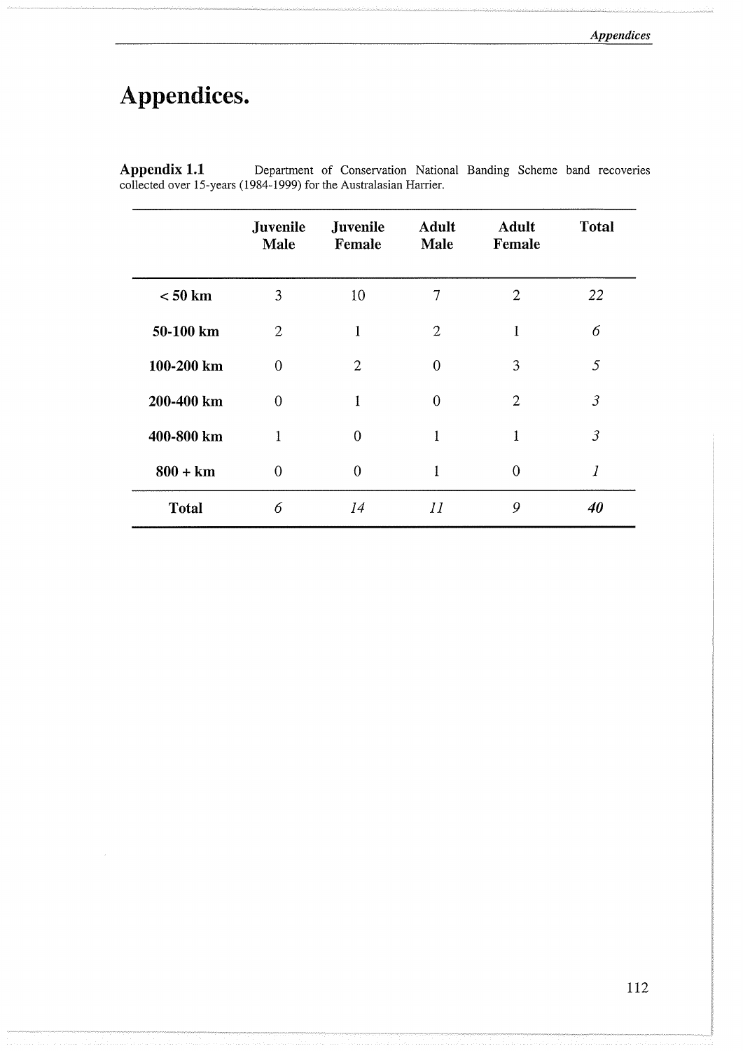# **Appendices.**

 $\lambda$ 

|              | Juvenile<br>Male | Juvenile<br>Female | <b>Adult</b><br><b>Male</b> | <b>Adult</b><br>Female | <b>Total</b>   |
|--------------|------------------|--------------------|-----------------------------|------------------------|----------------|
| $< 50$ km    | 3                | 10                 | $\tau$                      | $\overline{2}$         | 22             |
| 50-100 km    | 2                | 1                  | $\overline{2}$              | 1                      | 6              |
| 100-200 km   | $\Omega$         | $\overline{2}$     | $\Omega$                    | 3                      | 5              |
| 200-400 km   | 0                | 1                  | $\Omega$                    | $\overline{2}$         | $\mathfrak{Z}$ |
| 400-800 km   | 1                | $\Omega$           | 1                           | 1                      | $\mathfrak{Z}$ |
| $800 + km$   | $\Omega$         | $\theta$           | 1                           | $\overline{0}$         | 1              |
| <b>Total</b> | 6                | 14                 | II                          | 9                      | 40             |

Department of Conservation National Banding Scheme band recoveries Appendix 1.1 Department of Conservation Nation collected over 15-years (1984-1999) for the Australasian Harrier.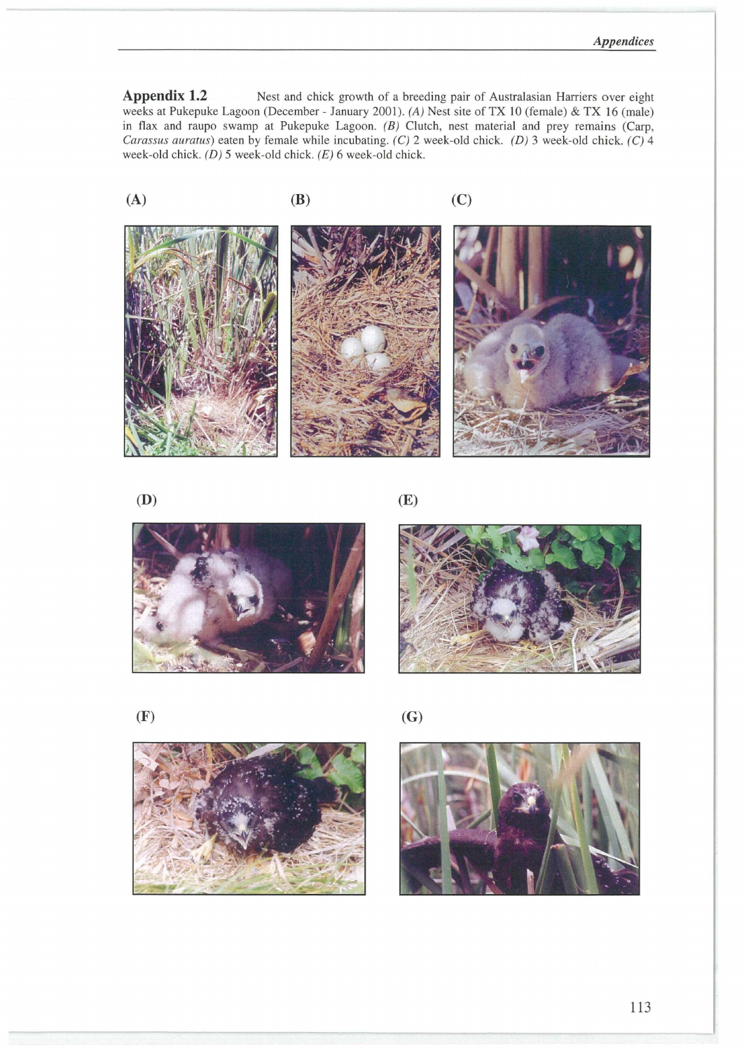Appendix 1.2 Nest and chick growth of a breeding pair of Australasian Harriers over eight weeks at Pukepuke Lagoon (December - January 2001). (A) Nest site of TX 10 (female) & TX 16 (male) in flax and raupo swamp at Pukepuke Lagoon. (B) Clutch, nest material and prey remains (Carp, Carassus auratus) eaten by female while incubating. (C) 2 week-old chick. (D) 3 week-old chick. (C) 4 week-old chick. (D) 5 week-old chick. (E) 6 week-old chick.















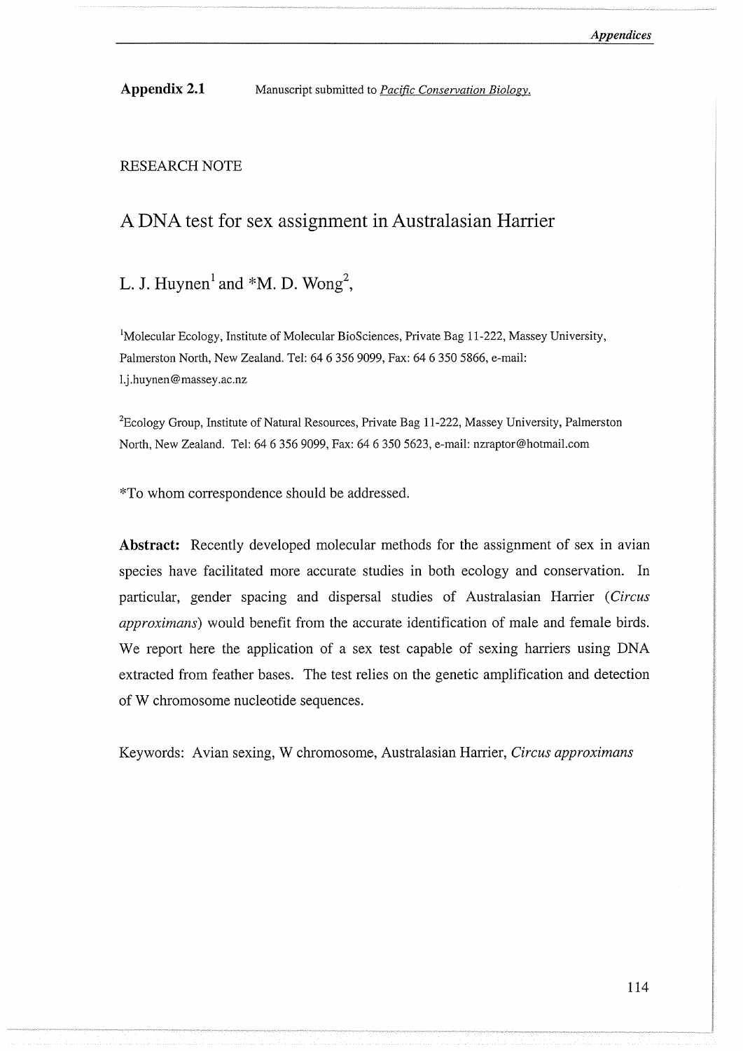Appendix 2.1 Manuscript submitted to *Pacific Conservation Biology.* 

#### RESEARCH NOTE

# A DNA test for sex assignment in Australasian Harrier

# L. J. Huynen<sup>1</sup> and  $*M$ . D. Wong<sup>2</sup>,

<sup>1</sup>Molecular Ecology, Institute of Molecular BioSciences, Private Bag 11-222, Massey University, Palmerston North, New Zealand. Tel: 64 6 356 9099, Fax: 64 6 350 5866, e-mail: l.j .huynen@massey.ac.nz

<sup>2</sup> Ecology Group, Institute of Natural Resources, Private Bag 11-222, Massey University, Palmerston North, New Zealand. Tel: 64 6 356 9099, Fax: 64 6 350 5623, e-mail: nzraptor@hotmail.com

\*To whom correspondence should be addressed.

Abstract: Recently developed molecular methods for the assignment of sex in avian species have facilitated more accurate studies in both ecology and conservation. In particular, gender spacing and dispersal studies of Australasian Ranier *(Circus approximans)* would benefit from the accurate identification of male and female birds. We report here the application of a sex test capable of sexing harriers using DNA extracted from feather bases. The test relies on the genetic amplification and detection of W chromosome nucleotide sequences.

Keywords: Avian sexing, W chromosome, Australasian Harrier, *Circus approximans*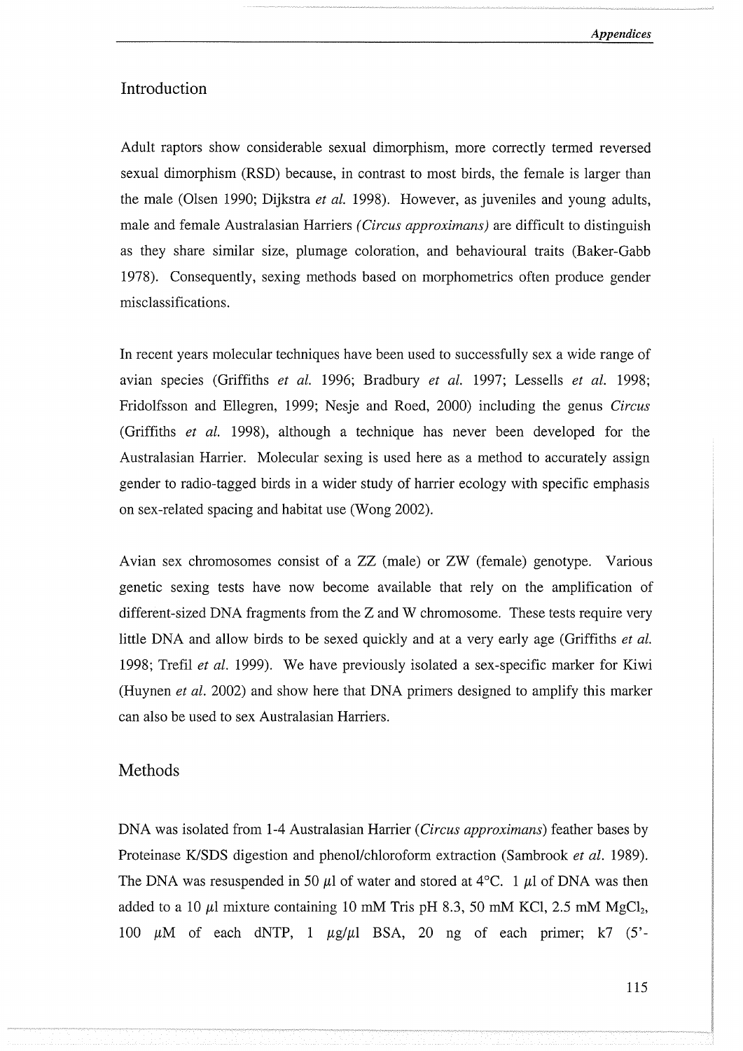## Introduction

Adult raptors show considerable sexual dimorphism, more correctly termed reversed sexual dimorphism (RSD) because, in contrast to most birds, the female is larger than the male (Olsen 1990; Dijkstra *et al.* 1998). However, as juveniles and young adults, male and female Australasian Harriers *(Circus approximans)* are difficult to distinguish as they share similar size, plumage coloration, and behavioural traits (Baker-Gabb 1978). Consequently, sexing methods based on morphometrics often produce gender misclassifications.

In recent years molecular techniques have been used to successfully sex a wide range of avian species (Griffiths *et al.* 1996; Bradbury *et al.* 1997; Lessells *et al.* 1998; Fridolfsson and Ellegren, 1999; Nesje and Roed, 2000) including the genus *Circus*  (Griffiths *et al.* 1998), although a technique has never been developed for the Australasian Harrier. Molecular sexing is used here as a method to accurately assign gender to radio-tagged birds in a wider study of harrier ecology with specific emphasis on sex-related spacing and habitat use (Wong 2002).

Avian sex chromosomes consist of a ZZ (male) or ZW (female) genotype. Various genetic sexing tests have now become available that rely on the amplification of different-sized DNA fragments from the  $Z$  and  $W$  chromosome. These tests require very little DNA and allow birds to be sexed quickly and at a very early age (Griffiths *et al.*  1998; Trefil *et al.* 1999). We have previously isolated a sex-specific marker for Kiwi (Huynen *et al.* 2002) and show here that DNA primers designed to amplify this marker can also be used to sex Australasian Harriers.

## Methods

DNA was isolated from 1-4 Australasian Harrier *(Circus approximans)* feather bases by Proteinase K/SDS digestion and phenol/chloroform extraction (Sambrook *et al.* 1989). The DNA was resuspended in 50  $\mu$ l of water and stored at 4°C. 1  $\mu$ l of DNA was then added to a 10  $\mu$ l mixture containing 10 mM Tris pH 8.3, 50 mM KCl, 2.5 mM MgCl<sub>2</sub>, 100 μM of each dNTP, 1 μg/μl BSA, 20 ng of each primer; k7 (5'-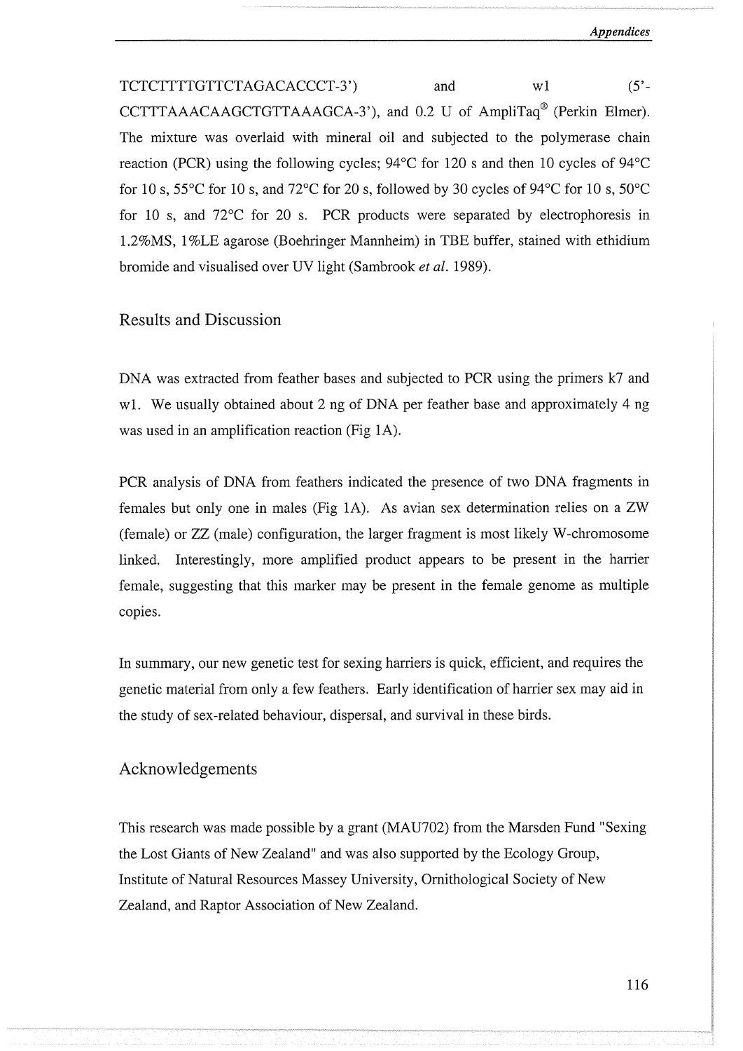TCTCTTTTGTTCTAGACACCCT-3') and w1 (5'-CCTTTAAACAAGCTGTTAAAGCA-3'), and 0.2 U of AmpliTaq® (Perkin Elmer). The mixture was overlaid with mineral oil and subjected to the polymerase chain reaction (PCR) using the following cycles; 94°C for I20 s and then 10 cycles of 94°C for 10 s, 55 $\degree$ C for 10 s, and 72 $\degree$ C for 20 s, followed by 30 cycles of 94 $\degree$ C for 10 s, 50 $\degree$ C for 10 s, and 72°C for 20 s. PCR products were separated by electrophoresis in l.2%MS, I %LE agarose (Boehringer Mannheim) in TBE buffer, stained with ethidium bromide and visualised over UV light (Sambrook *et al.* I989).

## Results and Discussion

DNA was extracted from feather bases and subjected to PCR using the primers k7 and w1. We usually obtained about 2 ng of DNA per feather base and approximately 4 ng was used in an amplification reaction (Fig IA).

PCR analysis of DNA from feathers indicated the presence of two DNA fragments in females but only one in males (Fig IA). As avian sex determination relies on a ZW (female) or ZZ (male) configuration, the larger fragment is most likely W-chromosome linked. Interestingly, more amplified product appears to be present in the harrier female, suggesting that this marker may be present in the female genome as multiple copies.

In summary, our new genetic test for sexing harriers is quick, efficient, and requires the genetic material from only a few feathers. Early identification of harrier sex may aid in the study of sex-related behaviour, dispersal, and survival in these birds.

#### Acknowledgements

This research was made possible by a grant (MAU702) from the Marsden Fund "Sexing the Lost Giants of New Zealand" and was also supported by the Ecology Group, Institute of Natural Resources Massey University, Ornithological Society of New Zealand, and Raptor Association of New Zealand.

116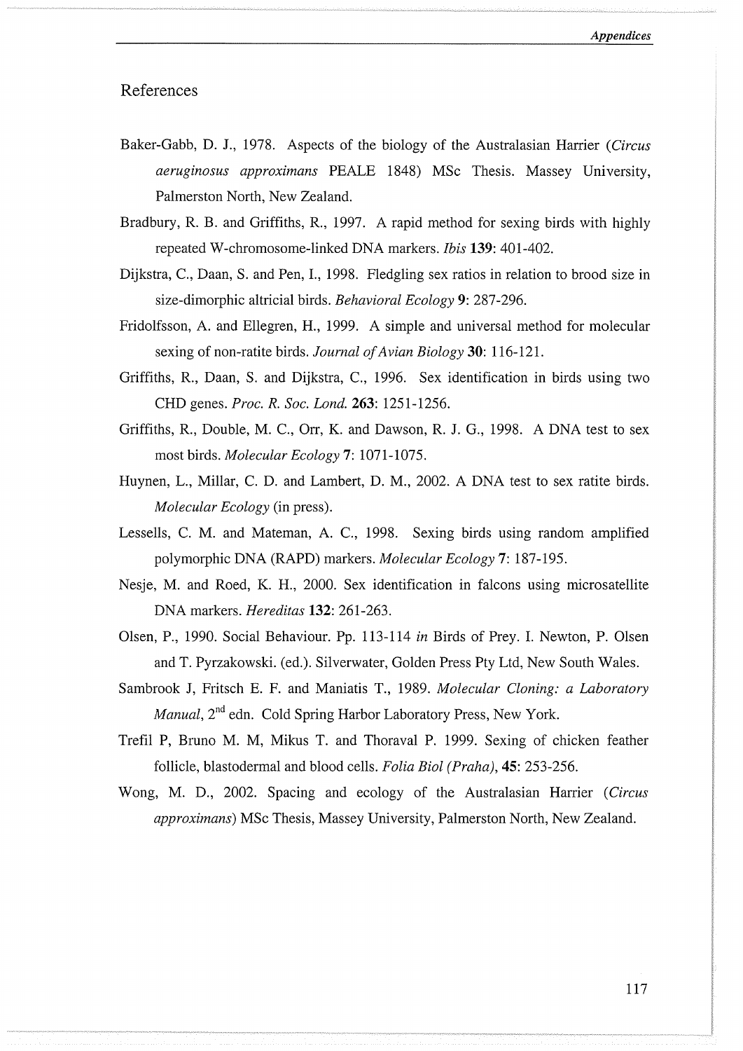## References

- Baker-Gabb, D. J., 1978. Aspects of the biology of the Australasian Harrier *(Circus aeruginosus approximans* PEALE 1848) MSc Thesis. Massey University, Palmerston North, New Zealand.
- Bradbury, R. B. and Griffiths, R., 1997. A rapid method for sexing birds with highly repeated W-chromosome-linked DNA markers. *Ibis* **139:** 401-402.
- Dijkstra, C., Daan, S. and Pen, I., 1998. Fledgling sex ratios in relation to brood size in size-dimorphic altricial birds. *Behavioral Ecology* **9:** 287-296.
- Fridolfsson, A. and Ellegren, H., 1999. A simple and universal method for molecular sexing of non-ratite birds. *Journal of Avian Biology* **30:** 116-121.
- Griffiths, R., Daan, S. and Dijkstra, C., 1996. Sex identification in birds using two CHD genes. *Proc. R. Soc. Land.* **263:** 1251-1256.
- Griffiths, R., Double, M. C., Orr, K. and Dawson, R. J. G., 1998. A DNA test to sex most birds. *Molecular Ecology* **7:** 1071-1075.
- Huynen, L., Millar, C. D. and Lambert, D. M., 2002. A DNA test to sex ratite birds. *Molecular Ecology* (in press).
- Lessells, C. M. and Mateman, A. C., 1998. Sexing birds using random amplified polymorphic DNA (RAPD) markers. *Molecular Ecology* **7:** 187-195.
- Nesje, M. and Roed, K. H., 2000. Sex identification in falcons using microsatellite DNA markers. *Hereditas* **132:** 261-263.
- Olsen, P., 1990. Social Behaviour. Pp. 113-114 *in* Birds of Prey. I. Newton, P. Olsen and T. Pyrzakowski. (ed.). Silverwater, Golden Press Pty Ltd, New South Wales.
- Sambrook J, Fritsch E. F. and Maniatis T., 1989. *Molecular Cloning: a Laboratory Manual,*  $2<sup>nd</sup>$  edn. Cold Spring Harbor Laboratory Press, New York.
- Trefil P, Bruno M. M, Mikus T. and Thoraval P. 1999. Sexing of chicken feather follicle, blastodermal and blood cells. *Folia Biol (Praha),* **45:** 253-256.
- Wong, M. D., 2002. Spacing and ecology of the Australasian Harrier *(Circus approximans)* MSc Thesis, Massey University, Palmerston North, New Zealand.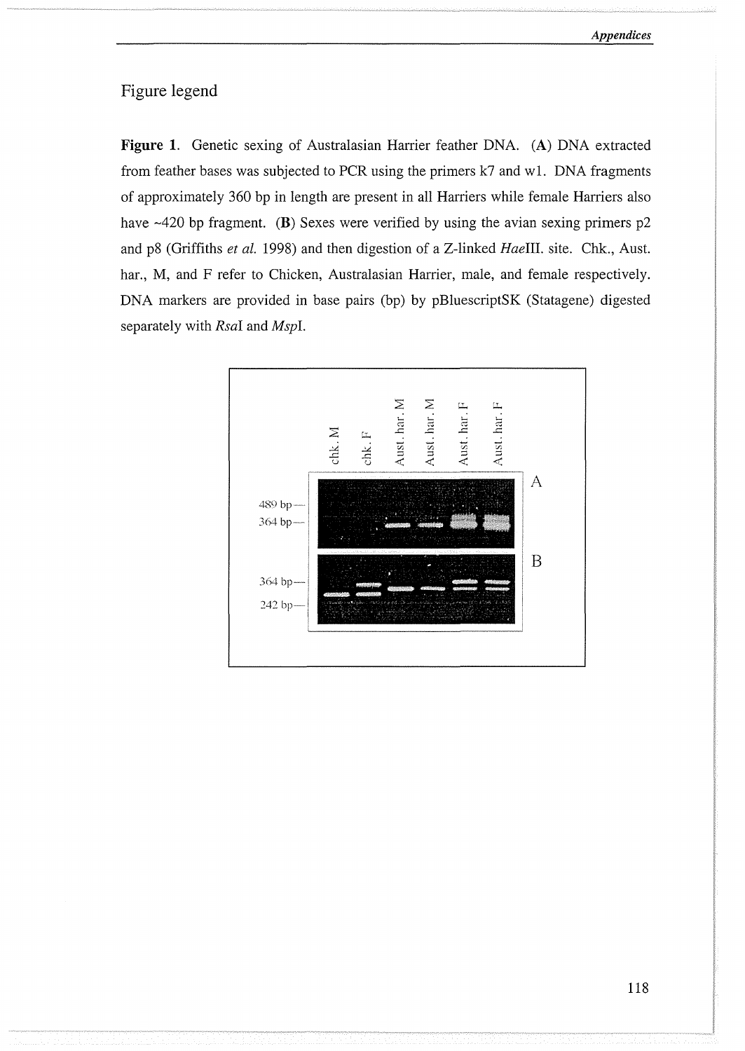## Figure legend

**Figure 1.** Genetic sexing of Australasian Harrier feather DNA. (A) DNA extracted from feather bases was subjected to PCR using the primers k7 and wl. DNA fragments of approximately 360 bp in length are present in all Harriers while female Harriers also have  $\sim$ 420 bp fragment. **(B)** Sexes were verified by using the avian sexing primers p2 and p8 (Griffiths *et al.* 1998) and then digestion of a Z-linked *HaeIII.* site. Chk., Aust. har., M, and F refer to Chicken, Australasian Harrier, male, and female respectively. DNA markers are provided in base pairs (bp) by pBluescriptSK (Statagene) digested separately with *Rsal* and *Mspl.* 

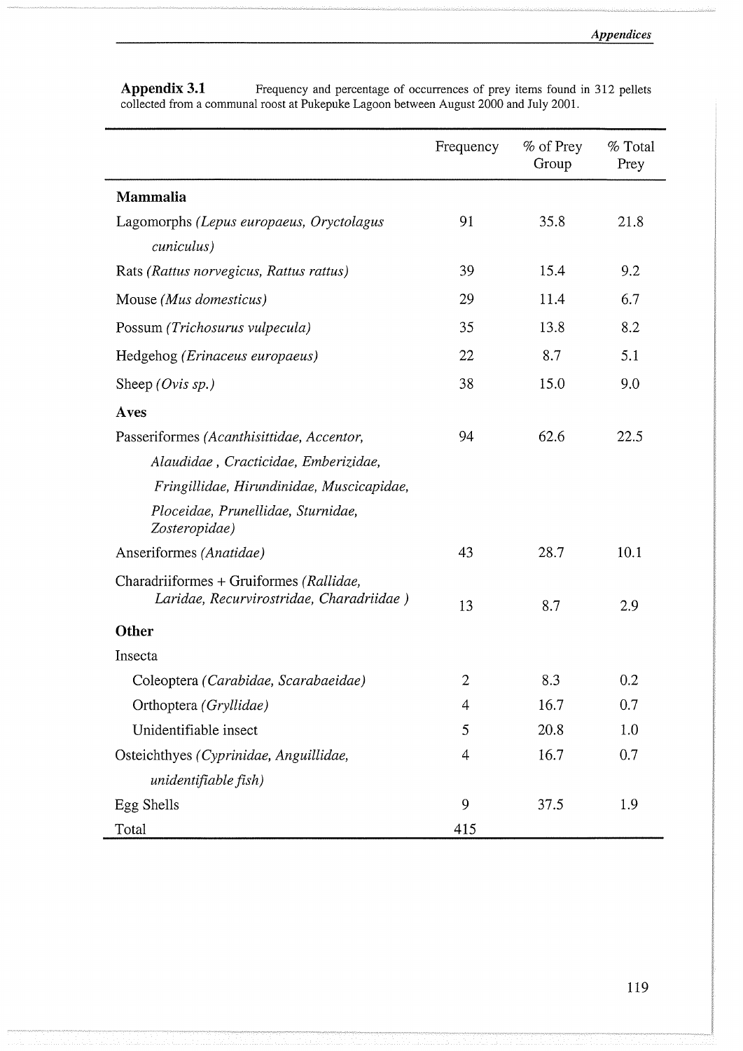|                                                                                     | Frequency      | % of Prey<br>Group | % Total<br>Prey |
|-------------------------------------------------------------------------------------|----------------|--------------------|-----------------|
| <b>Mammalia</b>                                                                     |                |                    |                 |
| Lagomorphs (Lepus europaeus, Oryctolagus                                            | 91             | 35.8               | 21.8            |
| cuniculus)                                                                          |                |                    |                 |
| Rats (Rattus norvegicus, Rattus rattus)                                             | 39             | 15.4               | 9.2             |
| Mouse (Mus domesticus)                                                              | 29             | 11.4               | 6.7             |
| Possum (Trichosurus vulpecula)                                                      | 35             | 13.8               | 8.2             |
| Hedgehog (Erinaceus europaeus)                                                      | 22             | 8.7                | 5.1             |
| Sheep (Ovis sp.)                                                                    | 38             | 15.0               | 9.0             |
| Aves                                                                                |                |                    |                 |
| Passeriformes (Acanthisittidae, Accentor,                                           | 94             | 62.6               | 22.5            |
| Alaudidae, Cracticidae, Emberizidae,                                                |                |                    |                 |
| Fringillidae, Hirundinidae, Muscicapidae,                                           |                |                    |                 |
| Ploceidae, Prunellidae, Sturnidae,<br>Zosteropidae)                                 |                |                    |                 |
| Anseriformes (Anatidae)                                                             | 43             | 28.7               | 10.1            |
| Charadriiformes + Gruiformes (Rallidae,<br>Laridae, Recurvirostridae, Charadriidae) | 13             | 8.7                | 2.9             |
| Other                                                                               |                |                    |                 |
| Insecta                                                                             |                |                    |                 |
| Coleoptera (Carabidae, Scarabaeidae)                                                | $\overline{2}$ | 8.3                | 0.2             |
| Orthoptera (Gryllidae)                                                              | 4              | 16.7               | 0.7             |
| Unidentifiable insect                                                               | 5              | 20.8               | 1.0             |
| Osteichthyes (Cyprinidae, Anguillidae,                                              | 4              | 16.7               | 0.7             |
| unidentifiable fish)                                                                |                |                    |                 |
| Egg Shells                                                                          | 9              | 37.5               | 1.9             |
| Total                                                                               | 415            |                    |                 |

Appendix 3.1 **Figurency and percentage of occurrences of prey items found in 312 pellets** collected from a communal roost at Pukepuke Lagoon between August 2000 and July 2001.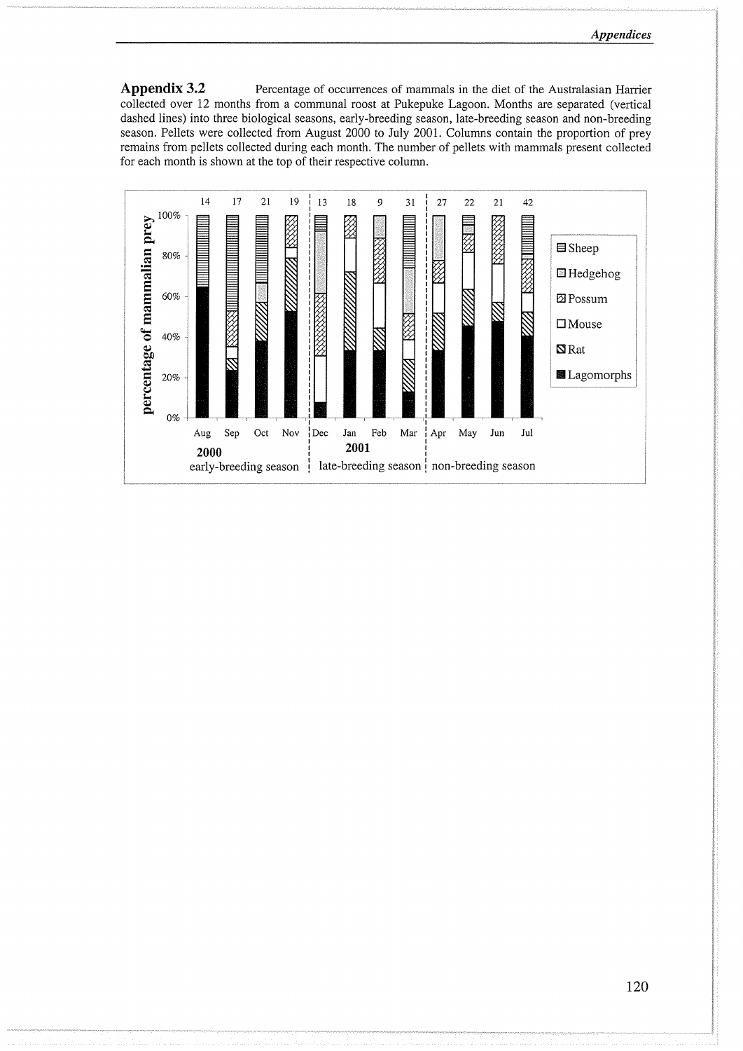Appendix 3.2 **Percentage of occurrences of mammals in the diet of the Australasian Harrier** collected over 12 months from a communal roost at Pukepuke Lagoon. Months are separated (vertical dashed lines) into three biological seasons, early-breeding season, late-breeding season and non-breeding season. Pellets were collected from August 2000 to July 2001. Columns contain the proportion of prey remains from pellets collected during each month. The number of pellets with mammals present collected for each month is shown at the top of their respective column.

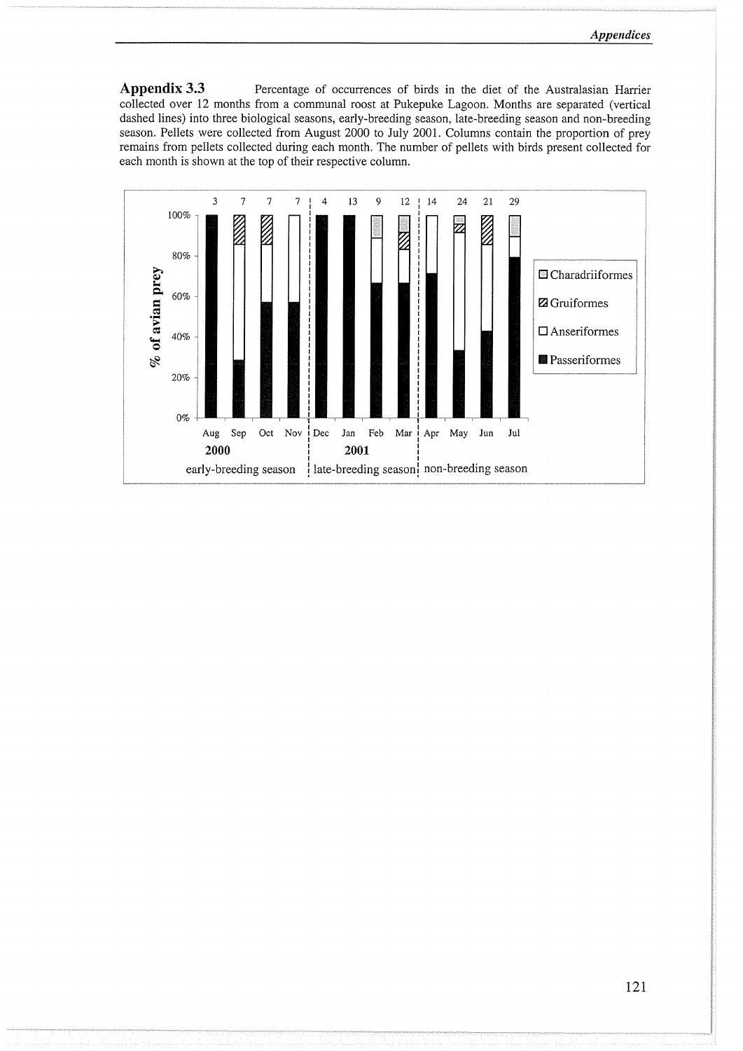Appendix 3.3 Percentage of occurrences of birds in the diet of the Australasian Harrier collected over 12 months from a communal roost at Pukepuke Lagoon. Months are separated (vertical dashed lines) into three biological seasons, early-breeding season, late-breeding season and non-breeding season. Pellets were collected from August 2000 to July 2001. Columns contain the proportion of prey remains from pellets collected during each month. The number of pellets with birds present collected for each month is shown at the top of their respective column.

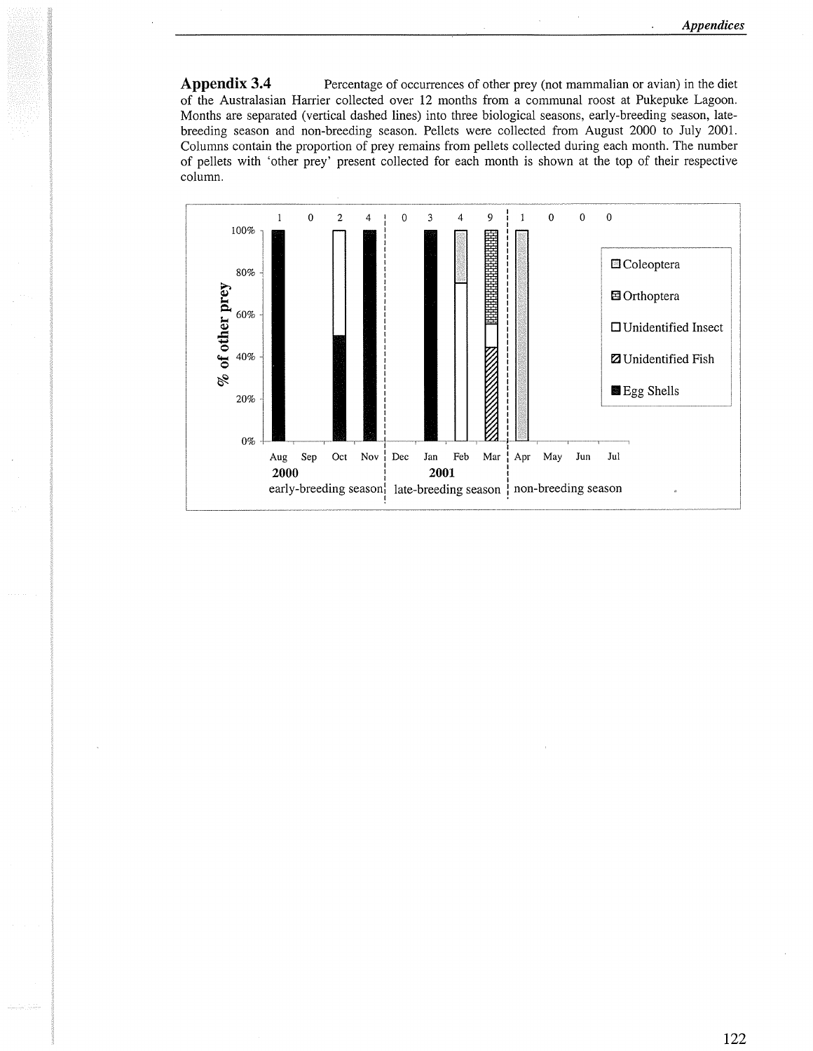Appendix 3.4 **Percentage of occurrences of other prey (not mammalian or avian) in the diet** of the Australasian Harrier collected over 12 months from a communal roost at Pukepuke Lagoon. Months are separated (vertical dashed lines) into three biological seasons, early-breeding season, latebreeding season and non-breeding season. Pellets were collected from August 2000 to July 2001. Columns contain the proportion of prey remains from pellets collected during each month. The number of pellets with 'other prey' present collected for each month is shown at the top of their respective column.

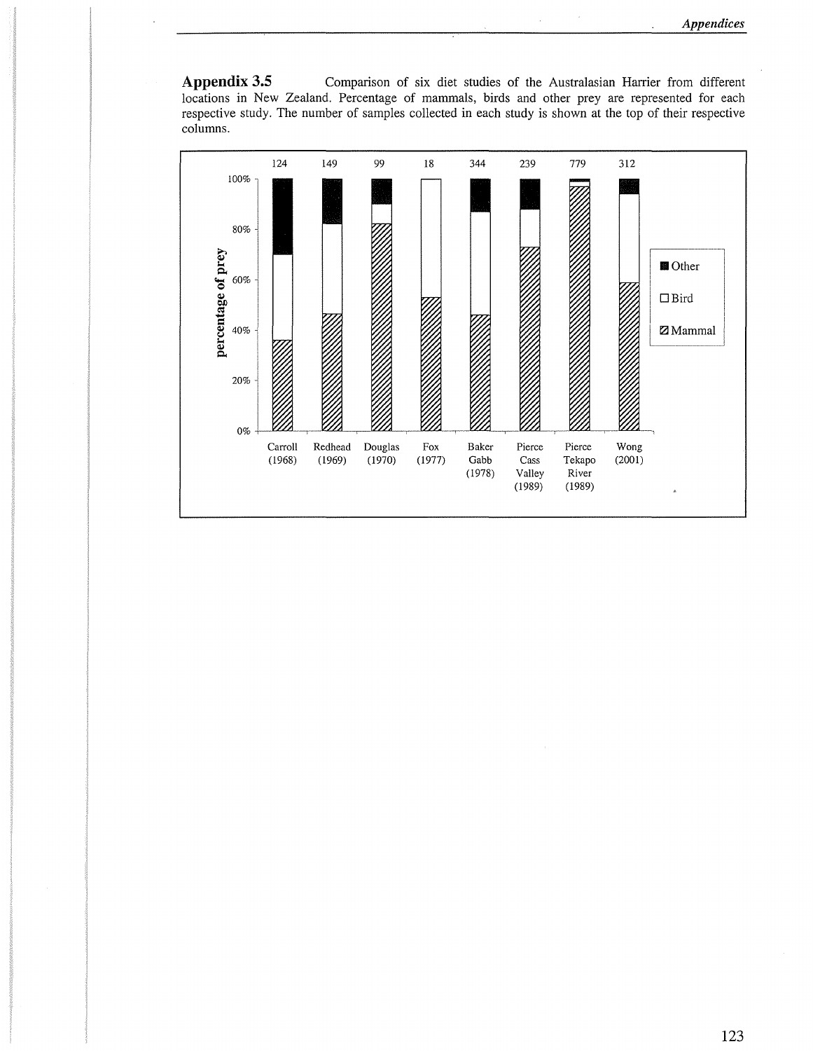Appendix 3.5 Comparison of six diet studies of the Australasian Harrier from different locations in New Zealand. Percentage of mammals, birds and other prey are represented for each respective study. The number of samples collected in each study is shown at the top of their respective columns.

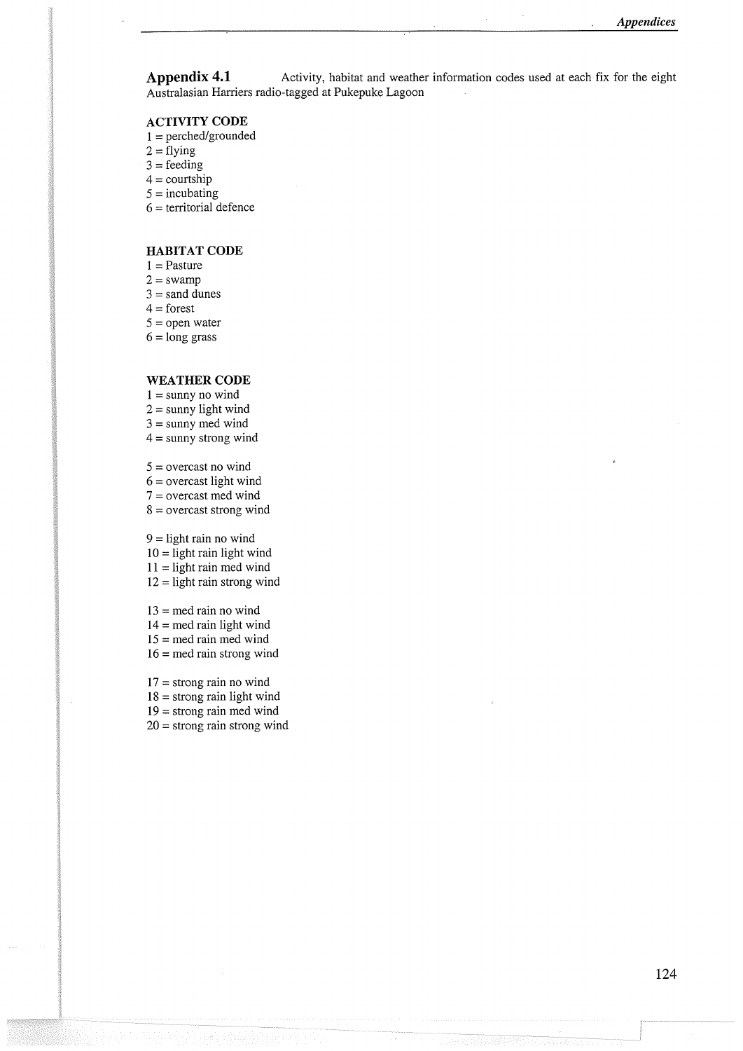**Appendix 4.1** •• Activity, habitat and weather information codes used at each fix for the eight Australasian Harriers radio-tagged at Pukepuke Lagoon

#### **ACTIVITY CODE**

- $1 =$  perched/grounded
- $2 = flying$
- $3 =$ feeding
- $4 =$  courtship
- $5 =$ incubating
- $6 =$  territorial defence

#### **HABITAT CODE**

- $1 =$ Pasture
- $2 = swamp$
- $3 =$ sand dunes
- $4 =$ forest
- $5 =$  open water
- $6 = \text{long grass}$

#### **WEATHER CODE**

- $1 =$ sunny no wind
- $2 =$ sunny light wind
- $3 =$ sunny med wind
- $4 =$ sunny strong wind

 $5 =$  overcast no wind

- $6$  = overcast light wind
- 7 = overcast med wind
- $8 =$  overcast strong wind

 $9 =$  light rain no wind

- $10 =$  light rain light wind
- $11 =$  light rain med wind
- $12$  = light rain strong wind
- $13$  = med rain no wind
- $14 =$  med rain light wind
- 15 = med rain med wind
- $16$  = med rain strong wind
- 17 = strong rain no wind
- $18 =$  strong rain light wind

 $19$  = strong rain med wind

 $20 =$  strong rain strong wind